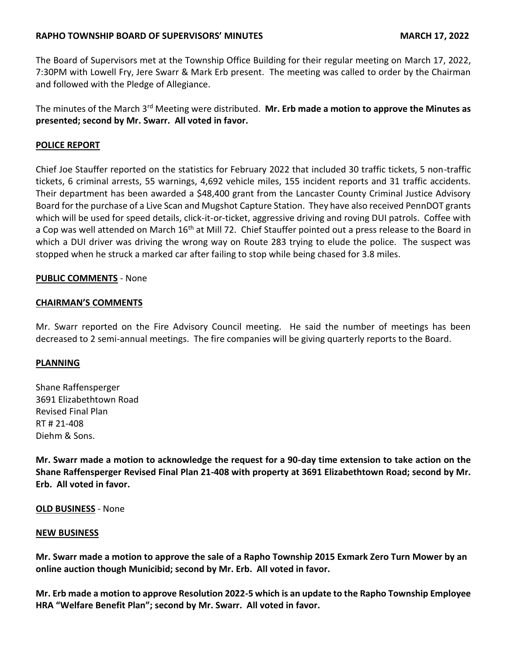# **RAPHO TOWNSHIP BOARD OF SUPERVISORS' MINUTES MARCH 17, 2022**

The Board of Supervisors met at the Township Office Building for their regular meeting on March 17, 2022, 7:30PM with Lowell Fry, Jere Swarr & Mark Erb present. The meeting was called to order by the Chairman and followed with the Pledge of Allegiance.

The minutes of the March 3rd Meeting were distributed. **Mr. Erb made a motion to approve the Minutes as presented; second by Mr. Swarr. All voted in favor.**

# **POLICE REPORT**

Chief Joe Stauffer reported on the statistics for February 2022 that included 30 traffic tickets, 5 non-traffic tickets, 6 criminal arrests, 55 warnings, 4,692 vehicle miles, 155 incident reports and 31 traffic accidents. Their department has been awarded a \$48,400 grant from the Lancaster County Criminal Justice Advisory Board for the purchase of a Live Scan and Mugshot Capture Station. They have also received PennDOT grants which will be used for speed details, click-it-or-ticket, aggressive driving and roving DUI patrols. Coffee with a Cop was well attended on March 16<sup>th</sup> at Mill 72. Chief Stauffer pointed out a press release to the Board in which a DUI driver was driving the wrong way on Route 283 trying to elude the police. The suspect was stopped when he struck a marked car after failing to stop while being chased for 3.8 miles.

## **PUBLIC COMMENTS** - None

### **CHAIRMAN'S COMMENTS**

Mr. Swarr reported on the Fire Advisory Council meeting. He said the number of meetings has been decreased to 2 semi-annual meetings. The fire companies will be giving quarterly reports to the Board.

## **PLANNING**

Shane Raffensperger 3691 Elizabethtown Road Revised Final Plan RT # 21-408 Diehm & Sons.

**Mr. Swarr made a motion to acknowledge the request for a 90-day time extension to take action on the Shane Raffensperger Revised Final Plan 21-408 with property at 3691 Elizabethtown Road; second by Mr. Erb. All voted in favor.**

#### **OLD BUSINESS** - None

#### **NEW BUSINESS**

**Mr. Swarr made a motion to approve the sale of a Rapho Township 2015 Exmark Zero Turn Mower by an online auction though Municibid; second by Mr. Erb. All voted in favor.**

**Mr. Erb made a motion to approve Resolution 2022-5 which is an update to the Rapho Township Employee HRA "Welfare Benefit Plan"; second by Mr. Swarr. All voted in favor.**